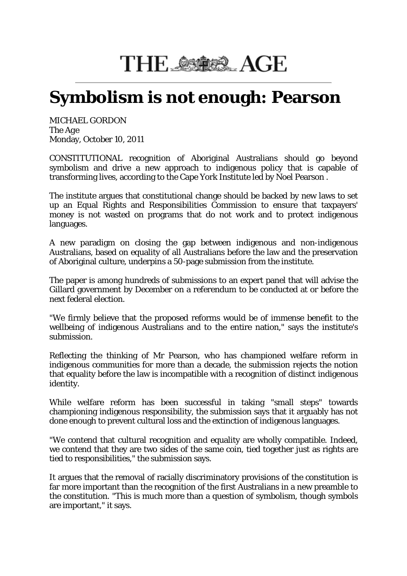## THE SACE AGE

## **Symbolism is not enough: Pearson**

MICHAEL GORDON The *Age* Monday, October 10, 2011

CONSTITUTIONAL recognition of Aboriginal Australians should go beyond symbolism and drive a new approach to indigenous policy that is capable of transforming lives, according to the Cape York Institute led by Noel Pearson .

The institute argues that constitutional change should be backed by new laws to set up an Equal Rights and Responsibilities Commission to ensure that taxpayers' money is not wasted on programs that do not work and to protect indigenous languages.

A new paradigm on closing the gap between indigenous and non-indigenous Australians, based on equality of all Australians before the law and the preservation of Aboriginal culture, underpins a 50-page submission from the institute.

The paper is among hundreds of submissions to an expert panel that will advise the Gillard government by December on a referendum to be conducted at or before the next federal election.

"We firmly believe that the proposed reforms would be of immense benefit to the wellbeing of indigenous Australians and to the entire nation," says the institute's submission.

Reflecting the thinking of Mr Pearson, who has championed welfare reform in indigenous communities for more than a decade, the submission rejects the notion that equality before the law is incompatible with a recognition of distinct indigenous identity.

While welfare reform has been successful in taking "small steps" towards championing indigenous responsibility, the submission says that it arguably has not done enough to prevent cultural loss and the extinction of indigenous languages.

"We contend that cultural recognition and equality are wholly compatible. Indeed, we contend that they are two sides of the same coin, tied together just as rights are tied to responsibilities," the submission says.

It argues that the removal of racially discriminatory provisions of the constitution is far more important than the recognition of the first Australians in a new preamble to the constitution. "This is much more than a question of symbolism, though symbols are important," it says.